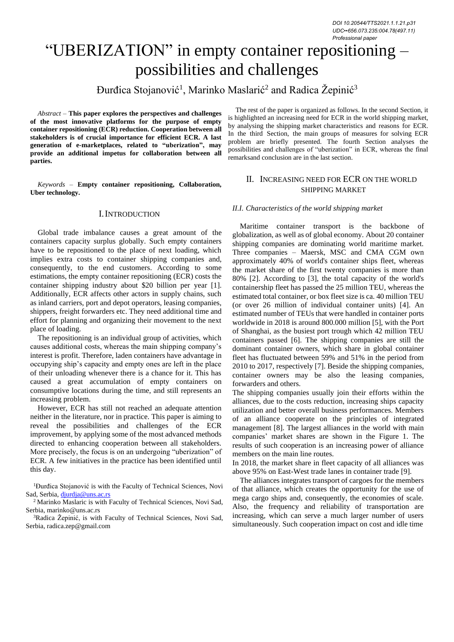# "UBERIZATION" in empty container repositioning – possibilities and challenges

Đurđica Stojanović<sup>1</sup>, Marinko Maslarić<sup>2</sup> and Radica Žepinić<sup>3</sup>

*Abstract –* **This paper explores the perspectives and challenges of the most innovative platforms for the purpose of empty container repositioning (ECR) reduction. Cooperation between all stakeholders is of crucial importance for efficient ECR. A last generation of e-marketplaces, related to "uberization", may provide an additional impetus for collaboration between all parties.**

*Keywords –* **Empty container repositioning, Collaboration, Uber technology.**

## I.INTRODUCTION

Global trade imbalance causes a great amount of the containers capacity surplus globally. Such empty containers have to be repositioned to the place of next loading, which implies extra costs to container shipping companies and, consequently, to the end customers. According to some estimations, the empty container repositioning (ECR) costs the container shipping industry about \$20 billion per year [1]. Additionally, ECR affects other actors in supply chains, such as inland carriers, port and depot operators, leasing companies, shippers, freight forwarders etc. They need additional time and effort for planning and organizing their movement to the next place of loading.

The repositioning is an individual group of activities, which causes additional costs, whereas the main shipping company's interest is profit. Therefore, laden containers have advantage in occupying ship's capacity and empty ones are left in the place of their unloading whenever there is a chance for it. This has caused a great accumulation of empty containers on consumptive locations during the time, and still represents an increasing problem.

However, ECR has still not reached an adequate attention neither in the literature, nor in practice. This paper is aiming to reveal the possibilities and challenges of the ECR improvement, by applying some of the most advanced methods directed to enhancing cooperation between all stakeholders. More precisely, the focus is on an undergoing "uberization" of ECR. A few initiatives in the practice has been identified until this day.

<sup>1</sup>Durđica Stojanović is with the Faculty of Technical Sciences, Novi Sad, Serbia[, djurdja@uns.ac.rs](mailto:djurdja@uns.ac.rs)

<sup>2</sup> Marinko Maslaric is with Faculty of Technical Sciences, Novi Sad, Serbia, marinko@uns.ac.rs

<sup>3</sup>Radica Žepinić, is with Faculty of Technical Sciences, Novi Sad, Serbia, radica.zep@gmail.com

The rest of the paper is organized as follows. In the second Section, it is highlighted an increasing need for ECR in the world shipping market, by analysing the shipping market characteristics and reasons for ECR. In the third Section, the main groups of measures for solving ECR problem are briefly presented. The fourth Section analyses the possibilities and challenges of "uberization" in ECR, whereas the final remarksand conclusion are in the last section.

## II. INCREASING NEED FOR ECR ON THE WORLD SHIPPING MARKET

### *II.I. Characteristics of the world shipping market*

Maritime container transport is the backbone of globalization, as well as of global economy. About 20 container shipping companies are dominating world maritime market. Three companies – Maersk, MSC and CMA CGM own approximately 40% of world's container ships fleet, whereas the market share of the first twenty companies is more than 80% [2]. According to [3], the total capacity of the world's containership fleet has passed the 25 million TEU, whereas the estimated total container, or box fleet size is ca. 40 million TEU (or over 26 million of individual container units) [4]. An estimated number of TEUs that were handled in container ports worldwide in 2018 is around 800.000 million [5], with the Port of Shanghai, as the busiest port trough which 42 million TEU containers passed [6]. The shipping companies are still the dominant container owners, which share in global container fleet has fluctuated between 59% and 51% in the period from 2010 to 2017, respectively [7]. Beside the shipping companies, container owners may be also the leasing companies, forwarders and others.

The shipping companies usually join their efforts within the alliances, due to the costs reduction, increasing ships capacity utilization and better overall business performances. Members of an alliance cooperate on the principles of integrated management [8]. The largest alliances in the world with main companies' market shares are shown in the Figure 1. The results of such cooperation is an increasing power of alliance members on the main line routes.

In 2018, the market share in fleet capacity of all alliances was above 95% on East-West trade lanes in container trade [9].

The alliances integrates transport of cargoes for the members of that alliance, which creates the opportunity for the use of mega cargo ships and, consequently, the economies of scale. Also, the frequency and reliability of transportation are increasing, which can serve a much larger number of users simultaneously. Such cooperation impact on cost and idle time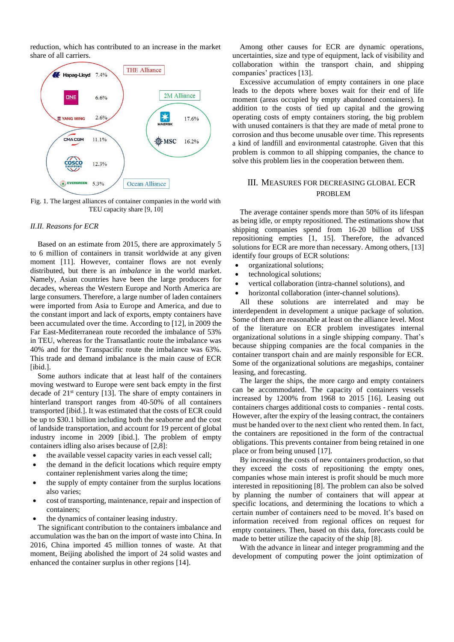reduction, which has contributed to an increase in the market share of all carriers.



Fig. 1. The largest alliances of container companies in the world with TEU capacity share [9, 10]

#### *II.II. Reasons for ECR*

Based on an estimate from 2015, there are approximately 5 to 6 million of containers in transit worldwide at any given moment [11]. However, container flows are not evenly distributed, but there is an *imbalance* in the world market. Namely, Asian countries have been the large producers for decades, whereas the Western Europe and North America are large consumers. Therefore, a large number of laden containers were imported from Asia to Europe and America, and due to the constant import and lack of exports, empty containers have been accumulated over the time. According to [12], in 2009 the Far East-Mediterranean route recorded the imbalance of 53% in TEU, whereas for the Transatlantic route the imbalance was 40% and for the Transpacific route the imbalance was 63%. This trade and demand imbalance is the main cause of ECR [ibid.].

Some authors indicate that at least half of the containers moving westward to Europe were sent back empty in the first decade of 21st century [13]. The share of empty containers in hinterland transport ranges from 40-50% of all containers transported [ibid.]. It was estimated that the costs of ECR could be up to \$30.1 billion including both the seaborne and the cost of landside transportation, and account for 19 percent of global industry income in 2009 [ibid.]. The problem of empty containers idling also arises because of [2,8]:

- the available vessel capacity varies in each vessel call;
- the demand in the deficit locations which require empty container replenishment varies along the time;
- the supply of empty container from the surplus locations also varies;
- cost of transporting, maintenance, repair and inspection of containers;
- the dynamics of container leasing industry.

The significant contribution to the containers imbalance and accumulation was the ban on the import of waste into China. In 2016, China imported 45 million tonnes of waste. At that moment, Beijing abolished the import of 24 solid wastes and enhanced the container surplus in other regions [14].

Among other causes for ECR are dynamic operations, uncertainties, size and type of equipment, lack of visibility and collaboration within the transport chain, and shipping companies' practices [13].

Excessive accumulation of empty containers in one place leads to the depots where boxes wait for their end of life moment (areas occupied by empty abandoned containers). In addition to the costs of tied up capital and the growing operating costs of empty containers storing, the big problem with unused containers is that they are made of metal prone to corrosion and thus become unusable over time. This represents a kind of landfill and environmental catastrophe. Given that this problem is common to all shipping companies, the chance to solve this problem lies in the cooperation between them.

## III. MEASURES FOR DECREASING GLOBAL ECR PROBLEM

The average container spends more than 50% of its lifespan as being idle, or empty repositioned. The estimations show that shipping companies spend from 16-20 billion of US\$ repositioning empties [1, 15]. Therefore, the advanced solutions for ECR are more than necessary. Among others, [13] identify four groups of ECR solutions:

- organizational solutions;
- technological solutions;
- vertical collaboration (intra-channel solutions), and
- horizontal collaboration (inter-channel solutions).

All these solutions are interrelated and may be interdependent in development a unique package of solution. Some of them are reasonable at least on the alliance level. Most of the literature on ECR problem investigates internal organizational solutions in a single shipping company. That's because shipping companies are the focal companies in the container transport chain and are mainly responsible for ECR. Some of the organizational solutions are megaships, container leasing, and forecasting.

The larger the ships, the more cargo and empty containers can be accommodated. The capacity of containers vessels increased by 1200% from 1968 to 2015 [16]. Leasing out containers charges additional costs to companies - rental costs. However, after the expiry of the leasing contract, the containers must be handed over to the next client who rented them. In fact, the containers are repositioned in the form of the contractual obligations. This prevents container from being retained in one place or from being unused [17].

By increasing the costs of new containers production, so that they exceed the costs of repositioning the empty ones, companies whose main interest is profit should be much more interested in repositioning [8]. The problem can also be solved by planning the number of containers that will appear at specific locations, and determining the locations to which a certain number of containers need to be moved. It's based on information received from regional offices on request for empty containers. Then, based on this data, forecasts could be made to better utilize the capacity of the ship [8].

With the advance in linear and integer programming and the development of computing power the joint optimization of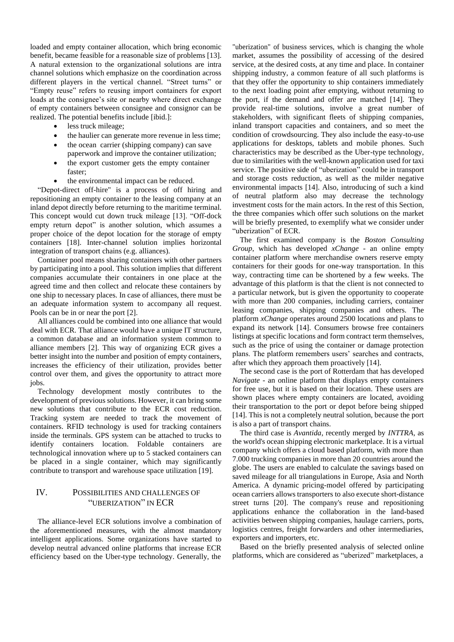loaded and empty container allocation, which bring economic benefit, became feasible for a reasonable size of problems [13]. A natural extension to the organizational solutions are intra channel solutions which emphasize on the coordination across different players in the vertical channel. "Street turns" or "Empty reuse" refers to reusing import containers for export loads at the consignee's site or nearby where direct exchange of empty containers between consignee and consignor can be realized. The potential benefits include [ibid.]:

- less truck mileage;
- the haulier can generate more revenue in less time;
- the ocean carrier (shipping company) can save paperwork and improve the container utilization;
- the export customer gets the empty container faster;
- the environmental impact can be reduced.

"Depot-direct off-hire" is a process of off hiring and repositioning an empty container to the leasing company at an inland depot directly before returning to the maritime terminal. This concept would cut down truck mileage [13]. "Off-dock empty return depot" is another solution, which assumes a proper choice of the depot location for the storage of empty containers [18]. Inter-channel solution implies horizontal integration of transport chains (e.g. alliances).

Container pool means sharing containers with other partners by participating into a pool. This solution implies that different companies accumulate their containers in one place at the agreed time and then collect and relocate these containers by one ship to necessary places. In case of alliances, there must be an adequate information system to accompany all request. Pools can be in or near the port [2].

All alliances could be combined into one alliance that would deal with ECR. That alliance would have a unique IT structure, a common database and an information system common to alliance members [2]. This way of organizing ECR gives a better insight into the number and position of empty containers, increases the efficiency of their utilization, provides better control over them, and gives the opportunity to attract more jobs.

Technology development mostly contributes to the development of previous solutions. However, it can bring some new solutions that contribute to the ECR cost reduction. Tracking system are needed to track the movement of containers. RFID technology is used for tracking containers inside the terminals. GPS system can be attached to trucks to identify containers location. Foldable containers are technological innovation where up to 5 stacked containers can be placed in a single container, which may significantly contribute to transport and warehouse space utilization [19].

## IV. POSSIBILITIES AND CHALLENGES OF "UBERIZATION" IN ECR

The alliance-level ECR solutions involve a combination of the aforementioned measures, with the almost mandatory intelligent applications. Some organizations have started to develop neutral advanced online platforms that increase ECR efficiency based on the Uber-type technology. Generally, the

"uberization" of business services, which is changing the whole market, assumes the possibility of accessing of the desired service, at the desired costs, at any time and place. In container shipping industry, a common feature of all such platforms is that they offer the opportunity to ship containers immediately to the next loading point after emptying, without returning to the port, if the demand and offer are matched [14]. They provide real-time solutions, involve a great number of stakeholders, with significant fleets of shipping companies, inland transport capacities and containers, and so meet the condition of crowdsourcing. They also include the easy-to-use applications for desktops, tablets and mobile phones. Such characteristics may be described as the Uber-type technology, due to similarities with the well-known application used for taxi service. The positive side of "uberization" could be in transport and storage costs reduction, as well as the milder negative environmental impacts [14]. Also, introducing of such a kind of neutral platform also may decrease the technology investment costs for the main actors. In the rest of this Section, the three companies which offer such solutions on the market will be briefly presented, to exemplify what we consider under "uberization" of ECR.

The first examined company is the *Boston Consulting Group*, which has developed *xChange* - an online empty container platform where merchandise owners reserve empty containers for their goods for one-way transportation. In this way, contracting time can be shortened by a few weeks. The advantage of this platform is that the client is not connected to a particular network, but is given the opportunity to cooperate with more than 200 companies, including carriers, container leasing companies, shipping companies and others. The platform *xChange* operates around 2500 locations and plans to expand its network [14]. Consumers browse free containers listings at specific locations and form contract term themselves, such as the price of using the container or damage protection plans. The platform remembers users' searches and contracts, after which they approach them proactively [14].

The second case is the port of Rotterdam that has developed *Navigate* - an online platform that displays empty containers for free use, but it is based on their location. These users are shown places where empty containers are located, avoiding their transportation to the port or depot before being shipped [14]. This is not a completely neutral solution, because the port is also a part of transport chains.

The third case is *Avantida*, recently merged by *INTTRA*, as the world's ocean shipping electronic marketplace. It is a virtual company which offers a cloud based platform, with more than 7.000 trucking companies in more than 20 countries around the globe. The users are enabled to calculate the savings based on saved mileage for all triangulations in Europe, Asia and North America. A dynamic pricing-model offered by participating ocean carriers allows transporters to also execute short-distance street turns [20]. The company's reuse and repositioning applications enhance the collaboration in the land-based activities between shipping companies, haulage carriers, ports, logistics centres, freight forwarders and other intermediaries, exporters and importers, etc.

Based on the briefly presented analysis of selected online platforms, which are considered as "uberized" marketplaces, a